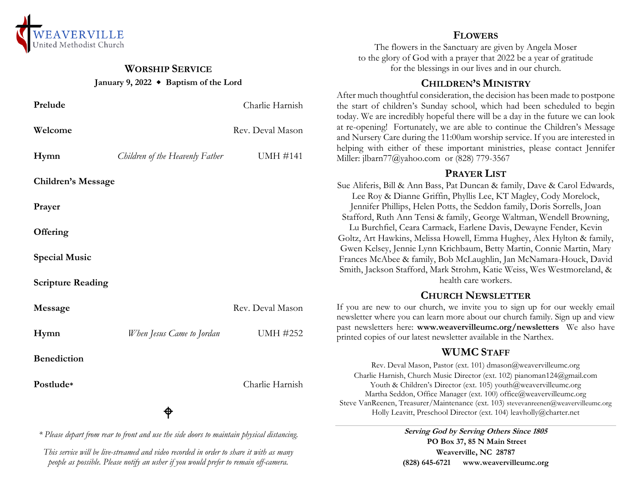

# **WORSHIP SERVICE January 9, 2022 Baptism of the Lord**

| Prelude                   |                                 | Charlie Harnish  |  |
|---------------------------|---------------------------------|------------------|--|
| Welcome                   |                                 | Rev. Deval Mason |  |
| Hymn                      | Children of the Heavenly Father | <b>UMH #141</b>  |  |
| <b>Children's Message</b> |                                 |                  |  |
| Prayer                    |                                 |                  |  |
| Offering                  |                                 |                  |  |
| <b>Special Music</b>      |                                 |                  |  |
| <b>Scripture Reading</b>  |                                 |                  |  |
| Message                   |                                 | Rev. Deval Mason |  |
| Hymn                      | When Jesus Came to Jordan       | <b>UMH #252</b>  |  |
| <b>Benediction</b>        |                                 |                  |  |
| Postlude*                 |                                 | Charlie Harnish  |  |
|                           |                                 |                  |  |

*\* Please depart from rear to front and use the side doors to maintain physical distancing.*

*This service will be live-streamed and video recorded in order to share it with as many people as possible. Please notify an usher if you would prefer to remain off-camera.*

# **FLOWERS**

The flowers in the Sanctuary are given by Angela Moser to the glory of God with a prayer that 2022 be a year of gratitude for the blessings in our lives and in our church.

## **CHILDREN'S MINISTRY**

After much thoughtful consideration, the decision has been made to postpone the start of children's Sunday school, which had been scheduled to begin today. We are incredibly hopeful there will be a day in the future we can look at re-opening! Fortunately, we are able to continue the Children's Message and Nursery Care during the 11:00am worship service. If you are interested in helping with either of these important ministries, please contact Jennifer Miller: jlbarn77@yahoo.com or (828) 779-3567

## **PRAYER LIST**

Sue Aliferis, Bill & Ann Bass, Pat Duncan & family, Dave & Carol Edwards, Lee Roy & Dianne Griffin, Phyllis Lee, KT Magley, Cody Morelock, Jennifer Phillips, Helen Potts, the Seddon family, Doris Sorrells, Joan Stafford, Ruth Ann Tensi & family, George Waltman, Wendell Browning, Lu Burchfiel, Ceara Carmack, Earlene Davis, Dewayne Fender, Kevin Goltz, Art Hawkins, Melissa Howell, Emma Hughey, Alex Hylton & family, Gwen Kelsey, Jennie Lynn Krichbaum, Betty Martin, Connie Martin, Mary Frances McAbee & family, Bob McLaughlin, Jan McNamara-Houck, David Smith, Jackson Stafford, Mark Strohm, Katie Weiss, Wes Westmoreland, & health care workers.

# **CHURCH NEWSLETTER**

If you are new to our church, we invite you to sign up for our weekly email newsletter where you can learn more about our church family. Sign up and view past newsletters here: **www.weavervilleumc.org/newsletters** We also have printed copies of our latest newsletter available in the Narthex.

# **WUMC STAFF**

Rev. Deval Mason, Pastor (ext. 101) dmason@weavervilleumc.org Charlie Harnish, Church Music Director (ext. 102) pianoman124@gmail.com Youth & Children's Director (ext. 105) youth@weavervilleumc.org Martha Seddon, Office Manager (ext. 100) office@weavervilleumc.org Steve VanReenen, Treasurer/Maintenance (ext. 103) stevevanreenen@weavervilleumc.org Holly Leavitt, Preschool Director (ext. 104) leavholly@charter.net

> **Serving God by Serving Others Since 1805 PO Box 37, 85 N Main Street Weaverville, NC 28787 (828) 645-6721 [www.weavervilleumc.org](http://www.weavervilleumc.org/)**